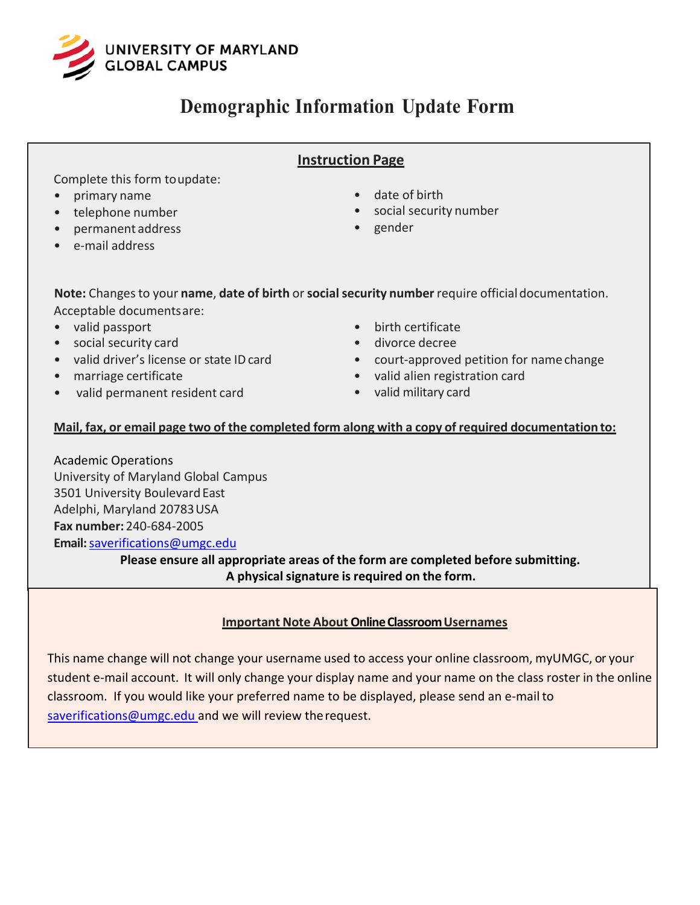

## **Demographic Information Update Form**

### **Instruction Page**

Complete this form to update:

- primary name
- telephone number
- permanent address
- e-mail address
- date of birth
- social security number
- gender

**Note:** Changes to your **name**, **date of birth** or**social security number** require official documentation. Acceptable documents are:

- valid passport
- social security card
- valid driver's license or state ID card
- marriage certificate
- valid permanent resident card
- birth certificate
- divorce decree
- court-approved petition for name change
- valid alien registration card
- valid military card

#### **Mail, fax, or email page two of the completed form along with a copy of required documentation to:**

Academic Operations University of Maryland Global Campus 3501 University Boulevard East Adelphi, Maryland 20783 USA **Fax number:** 240-684-2005 **Email:**[saverifications@umgc.edu](mailto:saverifications@umgc.edu)

**Please ensure all appropriate areas of the form are completed before submitting. A physicalsignature is required on the form.**

#### **Important Note About Online Classroom Usernames**

This name change will not change your username used to access your online classroom, myUMGC, or your student e-mail account. It will only change your display name and your name on the class roster in the online classroom. If you would like your preferred name to be displayed, please send an e-mail to [saverifications@umgc.edu a](mailto:saverifications@umgc.edu)nd we will review the request.